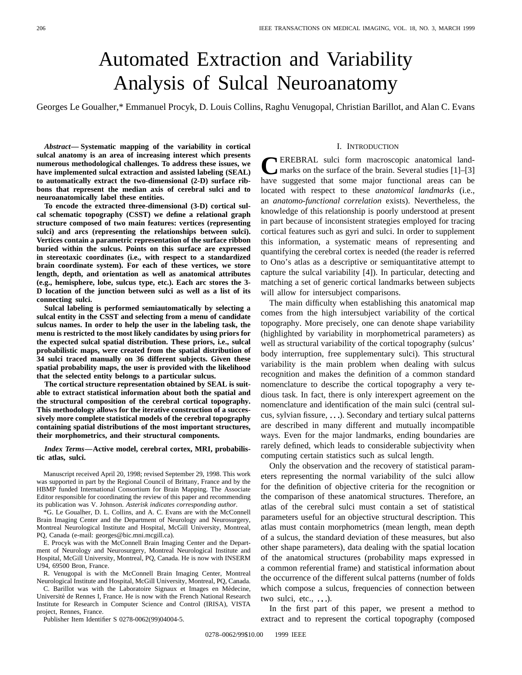# Automated Extraction and Variability Analysis of Sulcal Neuroanatomy

Georges Le Goualher,\* Emmanuel Procyk, D. Louis Collins, Raghu Venugopal, Christian Barillot, and Alan C. Evans

*Abstract—* **Systematic mapping of the variability in cortical sulcal anatomy is an area of increasing interest which presents numerous methodological challenges. To address these issues, we have implemented sulcal extraction and assisted labeling (SEAL) to automatically extract the two-dimensional (2-D) surface ribbons that represent the median axis of cerebral sulci and to neuroanatomically label these entities.**

**To encode the extracted three-dimensional (3-D) cortical sulcal schematic topography (CSST) we define a relational graph structure composed of two main features: vertices (representing sulci) and arcs (representing the relationships between sulci). Vertices contain a parametric representation of the surface ribbon buried within the sulcus. Points on this surface are expressed in stereotaxic coordinates (i.e., with respect to a standardized brain coordinate system). For each of these vertices, we store length, depth, and orientation as well as anatomical attributes (e.g., hemisphere, lobe, sulcus type, etc.). Each arc stores the 3- D location of the junction between sulci as well as a list of its connecting sulci.**

**Sulcal labeling is performed semiautomatically by selecting a sulcal entity in the CSST and selecting from a menu of candidate sulcus names. In order to help the user in the labeling task, the menu is restricted to the most likely candidates by using priors for the expected sulcal spatial distribution. These priors, i.e., sulcal probabilistic maps, were created from the spatial distribution of 34 sulci traced manually on 36 different subjects. Given these spatial probability maps, the user is provided with the likelihood that the selected entity belongs to a particular sulcus.**

**The cortical structure representation obtained by SEAL is suitable to extract statistical information about both the spatial and the structural composition of the cerebral cortical topography. This methodology allows for the iterative construction of a successively more complete statistical models of the cerebral topography containing spatial distributions of the most important structures, their morphometrics, and their structural components.**

## *Index Terms—***Active model, cerebral cortex, MRI, probabilistic atlas, sulci.**

Manuscript received April 20, 1998; revised September 29, 1998. This work was supported in part by the Regional Council of Brittany, France and by the HBMP funded International Consortium for Brain Mapping. The Associate Editor responsible for coordinating the review of this paper and recommending its publication was V. Johnson. *Asterisk indicates corresponding author.*

\*G. Le Goualher, D. L. Collins, and A. C. Evans are with the McConnell Brain Imaging Center and the Department of Neurology and Neurosurgery, Montreal Neurological Institute and Hospital, McGill University, Montreal, PQ, Canada (e-mail: georges@bic.mni.mcgill.ca).

E. Procyk was with the McConnell Brain Imaging Center and the Department of Neurology and Neurosurgery, Montreal Neurological Institute and Hospital, McGill University, Montreal, PQ, Canada. He is now with INSERM U94, 69500 Bron, France.

R. Venugopal is with the McConnell Brain Imaging Center, Montreal Neurological Institute and Hospital, McGill University, Montreal, PQ, Canada.

C. Barillot was with the Laboratoire Signaux et Images en Medecine, ´ Universite de Rennes I, France. He is now with the French National Research ´ Institute for Research in Computer Science and Control (IRISA), VISTA project, Rennes, France.

Publisher Item Identifier S 0278-0062(99)04004-5.

#### I. INTRODUCTION

**YEREBRAL** sulci form macroscopic anatomical landmarks on the surface of the brain. Several studies [1]–[3] have suggested that some major functional areas can be located with respect to these *anatomical landmarks* (i.e., an *anatomo-functional correlation* exists). Nevertheless, the knowledge of this relationship is poorly understood at present in part because of inconsistent strategies employed for tracing cortical features such as gyri and sulci. In order to supplement this information, a systematic means of representing and quantifying the cerebral cortex is needed (the reader is referred to Ono's atlas as a descriptive or semiquantitative attempt to capture the sulcal variability [4]). In particular, detecting and matching a set of generic cortical landmarks between subjects will allow for intersubject comparisons.

The main difficulty when establishing this anatomical map comes from the high intersubject variability of the cortical topography. More precisely, one can denote shape variability (highlighted by variability in morphometrical parameters) as well as structural variability of the cortical topography (sulcus' body interruption, free supplementary sulci). This structural variability is the main problem when dealing with sulcus recognition and makes the definition of a common standard nomenclature to describe the cortical topography a very tedious task. In fact, there is only interexpert agreement on the nomenclature and identification of the main sulci (central sulcus, sylvian fissure, ...). Secondary and tertiary sulcal patterns are described in many different and mutually incompatible ways. Even for the major landmarks, ending boundaries are rarely defined, which leads to considerable subjectivity when computing certain statistics such as sulcal length.

Only the observation and the recovery of statistical parameters representing the normal variability of the sulci allow for the definition of objective criteria for the recognition or the comparison of these anatomical structures. Therefore, an atlas of the cerebral sulci must contain a set of statistical parameters useful for an objective structural description. This atlas must contain morphometrics (mean length, mean depth of a sulcus, the standard deviation of these measures, but also other shape parameters), data dealing with the spatial location of the anatomical structures (probability maps expressed in a common referential frame) and statistical information about the occurrence of the different sulcal patterns (number of folds which compose a sulcus, frequencies of connection between two sulci, etc.,  $\ldots$ ).

In the first part of this paper, we present a method to extract and to represent the cortical topography (composed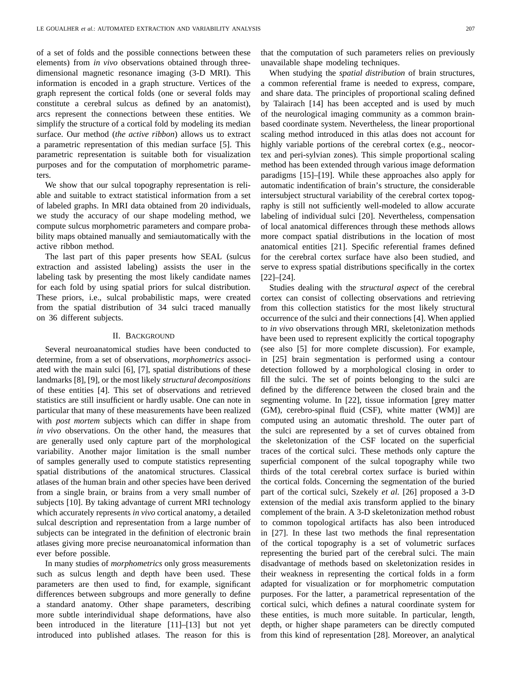of a set of folds and the possible connections between these elements) from *in vivo* observations obtained through threedimensional magnetic resonance imaging (3-D MRI). This information is encoded in a graph structure. Vertices of the graph represent the cortical folds (one or several folds may constitute a cerebral sulcus as defined by an anatomist), arcs represent the connections between these entities. We simplify the structure of a cortical fold by modeling its median surface. Our method (*the active ribbon*) allows us to extract a parametric representation of this median surface [5]. This parametric representation is suitable both for visualization purposes and for the computation of morphometric parameters.

We show that our sulcal topography representation is reliable and suitable to extract statistical information from a set of labeled graphs. In MRI data obtained from 20 individuals, we study the accuracy of our shape modeling method, we compute sulcus morphometric parameters and compare probability maps obtained manually and semiautomatically with the active ribbon method.

The last part of this paper presents how SEAL (sulcus extraction and assisted labeling) assists the user in the labeling task by presenting the most likely candidate names for each fold by using spatial priors for sulcal distribution. These priors, i.e., sulcal probabilistic maps, were created from the spatial distribution of 34 sulci traced manually on 36 different subjects.

## II. BACKGROUND

Several neuroanatomical studies have been conducted to determine, from a set of observations, *morphometrics* associated with the main sulci [6], [7], spatial distributions of these landmarks [8], [9], or the most likely *structural decompositions* of these entities [4]. This set of observations and retrieved statistics are still insufficient or hardly usable. One can note in particular that many of these measurements have been realized with *post mortem* subjects which can differ in shape from *in vivo* observations. On the other hand, the measures that are generally used only capture part of the morphological variability. Another major limitation is the small number of samples generally used to compute statistics representing spatial distributions of the anatomical structures. Classical atlases of the human brain and other species have been derived from a single brain, or brains from a very small number of subjects [10]. By taking advantage of current MRI technology which accurately represents *in vivo* cortical anatomy, a detailed sulcal description and representation from a large number of subjects can be integrated in the definition of electronic brain atlases giving more precise neuroanatomical information than ever before possible.

In many studies of *morphometrics* only gross measurements such as sulcus length and depth have been used. These parameters are then used to find, for example, significant differences between subgroups and more generally to define a standard anatomy. Other shape parameters, describing more subtle interindividual shape deformations, have also been introduced in the literature [11]–[13] but not yet introduced into published atlases. The reason for this is that the computation of such parameters relies on previously unavailable shape modeling techniques.

When studying the *spatial distribution* of brain structures, a common referential frame is needed to express, compare, and share data. The principles of proportional scaling defined by Talairach [14] has been accepted and is used by much of the neurological imaging community as a common brainbased coordinate system. Nevertheless, the linear proportional scaling method introduced in this atlas does not account for highly variable portions of the cerebral cortex (e.g., neocortex and peri-sylvian zones). This simple proportional scaling method has been extended through various image deformation paradigms [15]–[19]. While these approaches also apply for automatic indentification of brain's structure, the considerable intersubject structural variability of the cerebral cortex topography is still not sufficiently well-modeled to allow accurate labeling of individual sulci [20]. Nevertheless, compensation of local anatomical differences through these methods allows more compact spatial distributions in the location of most anatomical entities [21]. Specific referential frames defined for the cerebral cortex surface have also been studied, and serve to express spatial distributions specifically in the cortex [22]–[24].

Studies dealing with the *structural aspect* of the cerebral cortex can consist of collecting observations and retrieving from this collection statistics for the most likely structural occurrence of the sulci and their connections [4]. When applied to *in vivo* observations through MRI, skeletonization methods have been used to represent explicitly the cortical topography (see also [5] for more complete discussion). For example, in [25] brain segmentation is performed using a contour detection followed by a morphological closing in order to fill the sulci. The set of points belonging to the sulci are defined by the difference between the closed brain and the segmenting volume. In [22], tissue information [grey matter (GM), cerebro-spinal fluid (CSF), white matter (WM)] are computed using an automatic threshold. The outer part of the sulci are represented by a set of curves obtained from the skeletonization of the CSF located on the superficial traces of the cortical sulci. These methods only capture the superficial component of the sulcal topography while two thirds of the total cerebral cortex surface is buried within the cortical folds. Concerning the segmentation of the buried part of the cortical sulci, Szekely *et al.* [26] proposed a 3-D extension of the medial axis transform applied to the binary complement of the brain. A 3-D skeletonization method robust to common topological artifacts has also been introduced in [27]. In these last two methods the final representation of the cortical topography is a set of volumetric surfaces representing the buried part of the cerebral sulci. The main disadvantage of methods based on skeletonization resides in their weakness in representing the cortical folds in a form adapted for visualization or for morphometric computation purposes. For the latter, a parametrical representation of the cortical sulci, which defines a natural coordinate system for these entities, is much more suitable. In particular, length, depth, or higher shape parameters can be directly computed from this kind of representation [28]. Moreover, an analytical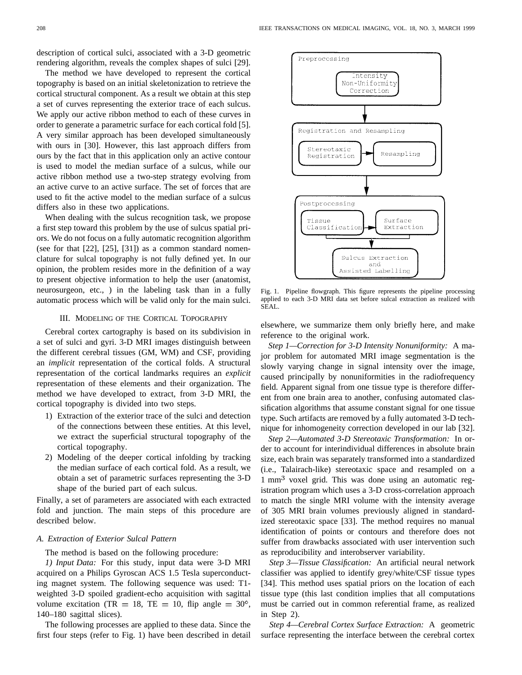description of cortical sulci, associated with a 3-D geometric rendering algorithm, reveals the complex shapes of sulci [29].

The method we have developed to represent the cortical topography is based on an initial skeletonization to retrieve the cortical structural component. As a result we obtain at this step a set of curves representing the exterior trace of each sulcus. We apply our active ribbon method to each of these curves in order to generate a parametric surface for each cortical fold [5]. A very similar approach has been developed simultaneously with ours in [30]. However, this last approach differs from ours by the fact that in this application only an active contour is used to model the median surface of a sulcus, while our active ribbon method use a two-step strategy evolving from an active curve to an active surface. The set of forces that are used to fit the active model to the median surface of a sulcus differs also in these two applications.

When dealing with the sulcus recognition task, we propose a first step toward this problem by the use of sulcus spatial priors. We do not focus on a fully automatic recognition algorithm (see for that [22], [25], [31]) as a common standard nomenclature for sulcal topography is not fully defined yet. In our opinion, the problem resides more in the definition of a way to present objective information to help the user (anatomist, neurosurgeon, etc., ) in the labeling task than in a fully automatic process which will be valid only for the main sulci.

## III. MODELING OF THE CORTICAL TOPOGRAPHY

Cerebral cortex cartography is based on its subdivision in a set of sulci and gyri. 3-D MRI images distinguish between the different cerebral tissues (GM, WM) and CSF, providing an *implicit* representation of the cortical folds. A structural representation of the cortical landmarks requires an *explicit* representation of these elements and their organization. The method we have developed to extract, from 3-D MRI, the cortical topography is divided into two steps.

- 1) Extraction of the exterior trace of the sulci and detection of the connections between these entities. At this level, we extract the superficial structural topography of the cortical topography.
- 2) Modeling of the deeper cortical infolding by tracking the median surface of each cortical fold. As a result, we obtain a set of parametric surfaces representing the 3-D shape of the buried part of each sulcus.

Finally, a set of parameters are associated with each extracted fold and junction. The main steps of this procedure are described below.

## *A. Extraction of Exterior Sulcal Pattern*

The method is based on the following procedure:

*1) Input Data:* For this study, input data were 3-D MRI acquired on a Philips Gyroscan ACS 1.5 Tesla superconducting magnet system. The following sequence was used: T1 weighted 3-D spoiled gradient-echo acquisition with sagittal volume excitation (TR = 18, TE = 10, flip angle =  $30^{\circ}$ , 140–180 sagittal slices).

The following processes are applied to these data. Since the first four steps (refer to Fig. 1) have been described in detail



Fig. 1. Pipeline flowgraph. This figure represents the pipeline processing applied to each 3-D MRI data set before sulcal extraction as realized with SEAL.

elsewhere, we summarize them only briefly here, and make reference to the original work.

*Step 1—Correction for 3-D Intensity Nonuniformity:* A major problem for automated MRI image segmentation is the slowly varying change in signal intensity over the image, caused principally by nonuniformities in the radiofrequency field. Apparent signal from one tissue type is therefore different from one brain area to another, confusing automated classification algorithms that assume constant signal for one tissue type. Such artifacts are removed by a fully automated 3-D technique for inhomogeneity correction developed in our lab [32].

*Step 2—Automated 3-D Stereotaxic Transformation:* In order to account for interindividual differences in absolute brain size, each brain was separately transformed into a standardized (i.e., Talairach-like) stereotaxic space and resampled on a  $1 \text{ mm}^3$  voxel grid. This was done using an automatic registration program which uses a 3-D cross-correlation approach to match the single MRI volume with the intensity average of 305 MRI brain volumes previously aligned in standardized stereotaxic space [33]. The method requires no manual identification of points or contours and therefore does not suffer from drawbacks associated with user intervention such as reproducibility and interobserver variability.

*Step 3—Tissue Classification:* An artificial neural network classifier was applied to identify grey/white/CSF tissue types [34]. This method uses spatial priors on the location of each tissue type (this last condition implies that all computations must be carried out in common referential frame, as realized in Step 2).

*Step 4—Cerebral Cortex Surface Extraction:* A geometric surface representing the interface between the cerebral cortex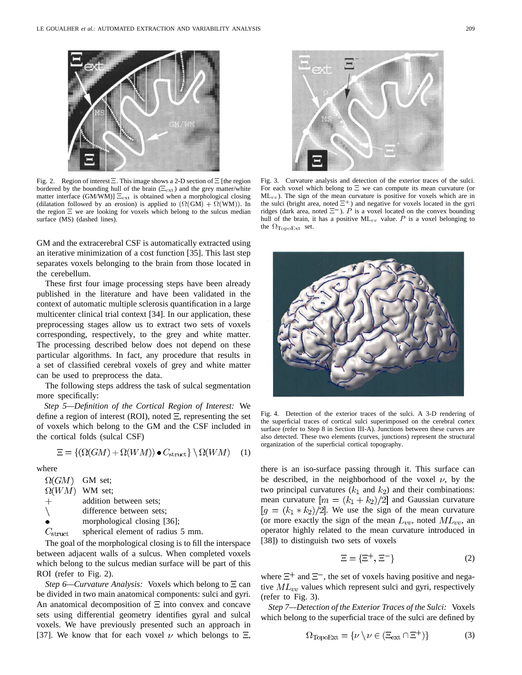

Fig. 2. Region of interest  $\Xi$ . This image shows a 2-D section of  $\Xi$  [the region bordered by the bounding hull of the brain  $(\Xi_{ext})$  and the grey matter/white matter interface (GM/WM)]  $\Xi_{\rm ext}$  is obtained when a morphological closing (dilatation followed by an erosion) is applied to  $(\Omega(GM) + \Omega(WM))$ . In the region  $\Xi$  we are looking for voxels which belong to the sulcus median surface (MS) (dashed lines).

GM and the extracerebral CSF is automatically extracted using an iterative minimization of a cost function [35]. This last step separates voxels belonging to the brain from those located in the cerebellum.

These first four image processing steps have been already published in the literature and have been validated in the context of automatic multiple sclerosis quantification in a large multicenter clinical trial context [34]. In our application, these preprocessing stages allow us to extract two sets of voxels corresponding, respectively, to the grey and white matter. The processing described below does not depend on these particular algorithms. In fact, any procedure that results in a set of classified cerebral voxels of grey and white matter can be used to preprocess the data.

The following steps address the task of sulcal segmentation more specifically:

*Step 5—Definition of the Cortical Region of Interest:* We define a region of interest (ROI), noted  $\Xi$ , representing the set of voxels which belong to the GM and the CSF included in the cortical folds (sulcal CSF)

$$
\Xi = \{ (\Omega(GM) + \Omega(WM)) \bullet C_{\text{struct}} \} \setminus \Omega(WM) \quad (1)
$$

where

| $\Omega(GM)$ GM set; |                                   |
|----------------------|-----------------------------------|
|                      | $\Omega(WM)$ WM set;              |
| $^{+}$               | addition between sets;            |
| X                    | difference between sets;          |
|                      | morphological closing [36];       |
| $C_{\rm struct}$     | spherical element of radius 5 mm. |

The goal of the morphological closing is to fill the interspace between adjacent walls of a sulcus. When completed voxels which belong to the sulcus median surface will be part of this ROI (refer to Fig. 2).

*Step 6—Curvature Analysis:* Voxels which belong to  $\Xi$  can be divided in two main anatomical components: sulci and gyri. An anatomical decomposition of  $\Xi$  into convex and concave sets using differential geometry identifies gyral and sulcal voxels. We have previously presented such an approach in [37]. We know that for each voxel  $\nu$  which belongs to  $\Xi$ ,



Fig. 3. Curvature analysis and detection of the exterior traces of the sulci. For each voxel which belong to  $\Xi$  we can compute its mean curvature (or  $ML_{vv}$ ). The sign of the mean curvature is positive for voxels which are in the sulci (bright area, noted  $\Xi^+$ ) and negative for voxels located in the gyri ridges (dark area, noted  $\Xi^-$ ). P is a voxel located on the convex bounding hull of the brain, it has a positive  $ML_{vv}$  value. P is a voxel belonging to the  $\Omega_{\text{TopoExt}}$  set.



Fig. 4. Detection of the exterior traces of the sulci. A 3-D rendering of the superficial traces of cortical sulci superimposed on the cerebral cortex surface (refer to Step 8 in Section III-A). Junctions between these curves are also detected. These two elements (curves, junctions) represent the structural organization of the superficial cortical topography.

there is an iso-surface passing through it. This surface can be described, in the neighborhood of the voxel  $\nu$ , by the two principal curvatures  $(k_1$  and  $k_2$ ) and their combinations: mean curvature  $[m = (k_1 + k_2)/2]$  and Gaussian curvature  $[g = (k_1 * k_2)/2]$ . We use the sign of the mean curvature (or more exactly the sign of the mean  $L_{vv}$ , noted  $ML_{vv}$ , an operator highly related to the mean curvature introduced in [38]) to distinguish two sets of voxels

$$
\Xi = \{\Xi^+, \Xi^-\} \tag{2}
$$

where  $\Xi^+$  and  $\Xi^-$ , the set of voxels having positive and negative  $ML_{vv}$  values which represent sulci and gyri, respectively (refer to Fig. 3).

*Step 7—Detection of the Exterior Traces of the Sulci:* Voxels which belong to the superficial trace of the sulci are defined by

$$
\Omega_{\text{TopoExt}} = \{ \nu \setminus \nu \in (\Xi_{\text{ext}} \cap \Xi^+) \} \tag{3}
$$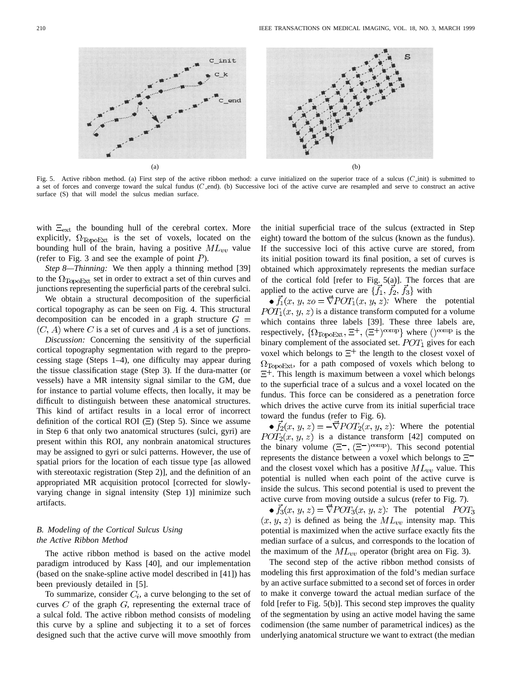

Fig. 5. Active ribbon method. (a) First step of the active ribbon method: a curve initialized on the superior trace of a sulcus (C init) is submitted to a set of forces and converge toward the sulcal fundus (C end). (b) Successive loci of the active curve are resampled and serve to construct an active surface (S) that will model the sulcus median surface.

with  $E_{\text{ext}}$  the bounding hull of the cerebral cortex. More explicitly,  $\Omega_{\text{TopoExt}}$  is the set of voxels, located on the bounding hull of the brain, having a positive  $ML_{vv}$  value (refer to Fig. 3 and see the example of point  $P$ ).

*Step 8—Thinning:* We then apply a thinning method [39] to the  $\Omega_{\text{TopoExt}}$  set in order to extract a set of thin curves and junctions representing the superficial parts of the cerebral sulci.

We obtain a structural decomposition of the superficial cortical topography as can be seen on Fig. 4. This structural decomposition can be encoded in a graph structure  $G =$  $(C, A)$  where C is a set of curves and A is a set of junctions.

*Discussion:* Concerning the sensitivity of the superficial cortical topography segmentation with regard to the preprocessing stage (Steps 1–4), one difficulty may appear during the tissue classification stage (Step 3). If the dura-matter (or vessels) have a MR intensity signal similar to the GM, due for instance to partial volume effects, then locally, it may be difficult to distinguish between these anatomical structures. This kind of artifact results in a local error of incorrect definition of the cortical ROI  $(\Xi)$  (Step 5). Since we assume in Step 6 that only two anatomical structures (sulci, gyri) are present within this ROI, any nonbrain anatomical structures may be assigned to gyri or sulci patterns. However, the use of spatial priors for the location of each tissue type [as allowed with stereotaxic registration (Step 2)], and the definition of an appropriated MR acquisition protocol [corrected for slowlyvarying change in signal intensity (Step 1)] minimize such artifacts.

# *B. Modeling of the Cortical Sulcus Using the Active Ribbon Method*

The active ribbon method is based on the active model paradigm introduced by Kass [40], and our implementation (based on the snake-spline active model described in [41]) has been previously detailed in [5].

To summarize, consider  $C_i$ , a curve belonging to the set of curves  $C$  of the graph  $G$ , representing the external trace of a sulcal fold. The active ribbon method consists of modeling this curve by a spline and subjecting it to a set of forces designed such that the active curve will move smoothly from

the initial superficial trace of the sulcus (extracted in Step eight) toward the bottom of the sulcus (known as the fundus). If the successive loci of this active curve are stored, from its initial position toward its final position, a set of curves is obtained which approximately represents the median surface of the cortical fold [refer to Fig.  $5(a)$ ]. The forces that are applied to the active curve are  $\{f_1, f_2, f_3\}$  with

 $\vec{f}_1(x, y, z_0 = \vec{\nabla}POT_1(x, y, z)$ : Where the potential  $POT<sub>1</sub>(x, y, z)$  is a distance transform computed for a volume which contains three labels [39]. These three labels are, respectively,  $\{\Omega_{\text{TopoExt}},\, \Xi^+,\, (\Xi^+)^{\text{comp}}\}$  where  $()^{\text{comp}}$  is the binary complement of the associated set.  $POT<sub>1</sub>$  gives for each voxel which belongs to  $\Xi^+$  the length to the closest voxel of  $\Omega_{\text{TopoExt}}$ , for a path composed of voxels which belong to  $E^+$ . This length is maximum between a voxel which belongs to the superficial trace of a sulcus and a voxel located on the fundus. This force can be considered as a penetration force which drives the active curve from its initial superficial trace toward the fundus (refer to Fig. 6).

 $\oint_2(x, y, z) = -\vec{\nabla} P O T_2(x, y, z)$ . Where the potential  $POT<sub>2</sub>(x, y, z)$  is a distance transform [42] computed on the binary volume  $(\Xi^-, (\Xi^-)^{\text{comp}})$ . This second potential represents the distance between a voxel which belongs to  $\Xi^$ and the closest voxel which has a positive  $ML_{vv}$  value. This potential is nulled when each point of the active curve is inside the sulcus. This second potential is used to prevent the active curve from moving outside a sulcus (refer to Fig. 7).

 $\vec{f}_3(x, y, z) = \vec{\nabla} P O T_3(x, y, z)$ : The potential  $P O T_3$  $(x, y, z)$  is defined as being the  $ML_{vv}$  intensity map. This potential is maximized when the active surface exactly fits the median surface of a sulcus, and corresponds to the location of the maximum of the  $ML_{vv}$  operator (bright area on Fig. 3).

The second step of the active ribbon method consists of modeling this first approximation of the fold's median surface by an active surface submitted to a second set of forces in order to make it converge toward the actual median surface of the fold [refer to Fig. 5(b)]. This second step improves the quality of the segmentation by using an active model having the same codimension (the same number of parametrical indices) as the underlying anatomical structure we want to extract (the median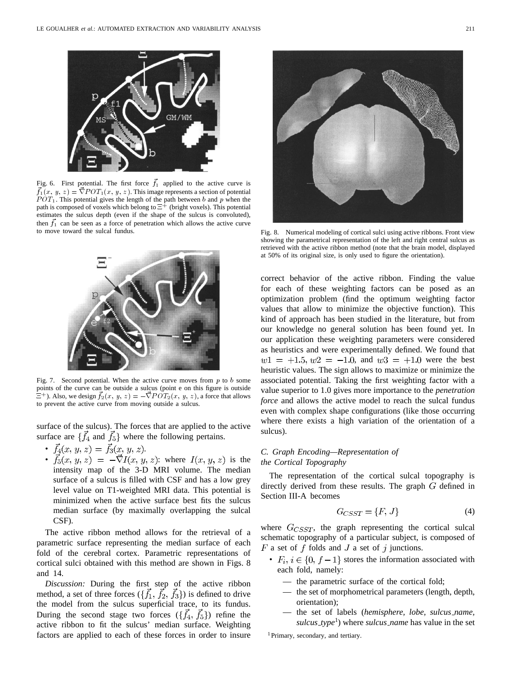

Fig. 6. First potential. The first force  $\vec{f}_1$  applied to the active curve is  $\vec{f}_1(x, y, z) = \vec{\nabla}POT_1(x, y, z)$ . This image represents a section of potential  $POT<sub>1</sub>$ . This potential gives the length of the path between b and p when the path is composed of voxels which belong to  $\Xi^+$  (bright voxels). This potential estimates the sulcus depth (even if the shape of the sulcus is convoluted), then  $\vec{f}_1$  can be seen as a force of penetration which allows the active curve to move toward the sulcal fundus.



Fig. 7. Second potential. When the active curve moves from  $p$  to  $b$  some points of the curve can be outside a sulcus (point e on this figure is outside  $(\overline{\Xi}^+)$ . Also, we design  $\vec{f}_2(x, y, z) = -\vec{\nabla}P\vec{OT}_2(x, y, z)$ , a force that allows to prevent the active curve from moving outside a sulcus.

surface of the sulcus). The forces that are applied to the active surface are  $\{\vec{f}_4$  and  $\vec{f}_5\}$  where the following pertains.

- $f_4(x, y, z) = f_3(x, y, z)$ .
- $f_5(x, y, z) = -\nabla I(x, y, z)$ : where  $I(x, y, z)$  is the intensity map of the 3-D MRI volume. The median surface of a sulcus is filled with CSF and has a low grey level value on T1-weighted MRI data. This potential is minimized when the active surface best fits the sulcus median surface (by maximally overlapping the sulcal CSF).

The active ribbon method allows for the retrieval of a parametric surface representing the median surface of each fold of the cerebral cortex. Parametric representations of cortical sulci obtained with this method are shown in Figs. 8 and 14.

*Discussion:* During the first step of the active ribbon method, a set of three forces  $(\{\vec{f}_1, \vec{f}_2, \vec{f}_3\})$  is defined to drive the model from the sulcus superficial trace, to its fundus. During the second stage two forces  $({f_4, f_5})$  refine the active ribbon to fit the sulcus' median surface. Weighting factors are applied to each of these forces in order to insure



Fig. 8. Numerical modeling of cortical sulci using active ribbons. Front view showing the parametrical representation of the left and right central sulcus as retrieved with the active ribbon method (note that the brain model, displayed at 50% of its original size, is only used to figure the orientation).

correct behavior of the active ribbon. Finding the value for each of these weighting factors can be posed as an optimization problem (find the optimum weighting factor values that allow to minimize the objective function). This kind of approach has been studied in the literature, but from our knowledge no general solution has been found yet. In our application these weighting parameters were considered as heuristics and were experimentally defined. We found that  $w1 = +1.5, w2 = -1.0,$  and  $w3 = +1.0$  were the best heuristic values. The sign allows to maximize or minimize the associated potential. Taking the first weighting factor with a value superior to 1.0 gives more importance to the *penetration force* and allows the active model to reach the sulcal fundus even with complex shape configurations (like those occurring where there exists a high variation of the orientation of a sulcus).

# *C. Graph Encoding—Representation of the Cortical Topography*

The representation of the cortical sulcal topography is directly derived from these results. The graph  $G$  defined in Section III-A becomes

$$
G_{C SST} = \{F, J\} \tag{4}
$$

where  $G_{CSST}$ , the graph representing the cortical sulcal schematic topography of a particular subject, is composed of  $F$  a set of  $f$  folds and  $J$  a set of  $j$  junctions.

- $F_i$ ,  $i \in \{0, f-1\}$  stores the information associated with each fold, namely:
	- the parametric surface of the cortical fold;
	- the set of morphometrical parameters (length, depth, orientation);
	- the set of labels (*hemisphere, lobe, sulcus name, sulcus type*<sup>1</sup> ) where *sulcus name* has value in the set

<sup>1</sup>Primary, secondary, and tertiary.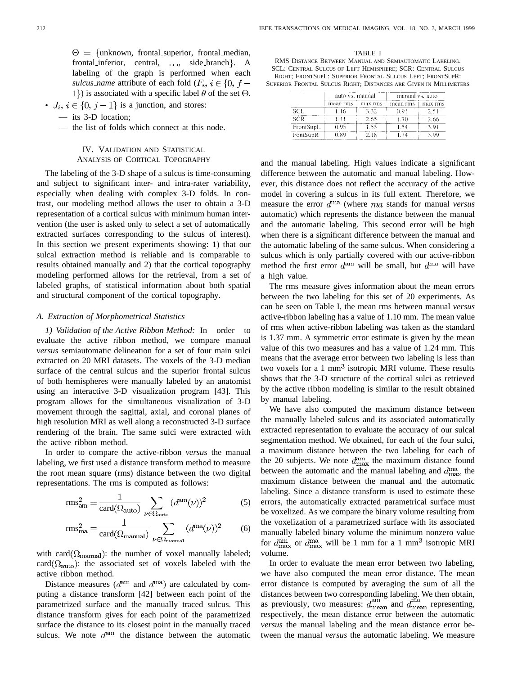$\Theta = \{$ unknown, frontal superior, frontal median, frontal inferior, central, ..., side branch. A labeling of the graph is performed when each *sulcus name* attribute of each fold  $(F_i, i \in \{0, f -\})$ 1}) is associated with a specific label  $\theta$  of the set  $\Theta$ .

•  $J_i$ ,  $i \in \{0, j-1\}$  is a junction, and stores:

— its 3-D location;

— the list of folds which connect at this node.

# IV. VALIDATION AND STATISTICAL ANALYSIS OF CORTICAL TOPOGRAPHY

The labeling of the 3-D shape of a sulcus is time-consuming and subject to significant inter- and intra-rater variability, especially when dealing with complex 3-D folds. In contrast, our modeling method allows the user to obtain a 3-D representation of a cortical sulcus with minimum human intervention (the user is asked only to select a set of automatically extracted surfaces corresponding to the sulcus of interest). In this section we present experiments showing: 1) that our sulcal extraction method is reliable and is comparable to results obtained manually and 2) that the cortical topography modeling performed allows for the retrieval, from a set of labeled graphs, of statistical information about both spatial and structural component of the cortical topography.

### *A. Extraction of Morphometrical Statistics*

*1) Validation of the Active Ribbon Method:* In order to evaluate the active ribbon method, we compare manual *versus* semiautomatic delineation for a set of four main sulci extracted on 20 MRI datasets. The voxels of the 3-D median surface of the central sulcus and the superior frontal sulcus of both hemispheres were manually labeled by an anatomist using an interactive 3-D visualization program [43]. This program allows for the simultaneous visualization of 3-D movement through the sagittal, axial, and coronal planes of high resolution MRI as well along a reconstructed 3-D surface rendering of the brain. The same sulci were extracted with the active ribbon method.

In order to compare the active-ribbon *versus* the manual labeling, we first used a distance transform method to measure the root mean square (rms) distance between the two digital representations. The rms is computed as follows:

$$
\text{rms}_{\text{am}}^2 = \frac{1}{\text{card}(\Omega_{\text{auto}})} \sum_{\nu \in \Omega_{\text{auto}}} (d^{\text{am}}(\nu))^2 \tag{5}
$$

$$
\text{rms}_{\text{ma}}^2 = \frac{1}{\text{card}(\Omega_{\text{manual}})} \sum_{\nu \in \Omega_{\text{manual}}} (d^{\text{ma}}(\nu))^2 \tag{6}
$$

with card $(\Omega_{\rm manual})$ : the number of voxel manually labeled; card  $(\Omega_{\text{auto}})$ : the associated set of voxels labeled with the active ribbon method.

Distance measures ( $d^{\text{am}}$  and  $d^{\text{ma}}$ ) are calculated by computing a distance transform [42] between each point of the parametrized surface and the manually traced sulcus. This distance transform gives for each point of the parametrized surface the distance to its closest point in the manually traced sulcus. We note  $d<sup>am</sup>$  the distance between the automatic

TABLE I

RMS DISTANCE BETWEEN MANUAL AND SEMIAUTOMATIC LABELING. SCL: CENTRAL SULCUS OF LEFT HEMISPHERE; SCR: CENTRAL SULCUS RIGHT; FRONTSUPL: SUPERIOR FRONTAL SULCUS LEFT; FRONTSUPR: SUPERIOR FRONTAL SULCUS RIGHT; DISTANCES ARE GIVEN IN MILLIMETERS

|           | auto vs. manual |         | manual vs. auto |         |  |
|-----------|-----------------|---------|-----------------|---------|--|
|           | mean rms        | max rms | mean rms        | max rms |  |
| SCL       | i 16            | 3.32    | 0.91            | 2.51    |  |
| SCR       | 1.41            | 2.65    | l .70           | 2.66    |  |
| FrontSupL | 0.95            | 1.55    | 1.54            | 3.91    |  |
| FontSupR  | 0.89            | 2.18    | L 34            | 3.99    |  |

and the manual labeling. High values indicate a significant difference between the automatic and manual labeling. However, this distance does not reflect the accuracy of the active model in covering a sulcus in its full extent. Therefore, we measure the error  $d<sup>ma</sup>$  (where  $ma$  stands for manual *versus* automatic) which represents the distance between the manual and the automatic labeling. This second error will be high when there is a significant difference between the manual and the automatic labeling of the same sulcus. When considering a sulcus which is only partially covered with our active-ribbon method the first error  $d^{am}$  will be small, but  $d^{ma}$  will have a high value.

The rms measure gives information about the mean errors between the two labeling for this set of 20 experiments. As can be seen on Table I, the mean rms between manual *versus* active-ribbon labeling has a value of 1.10 mm. The mean value of rms when active-ribbon labeling was taken as the standard is 1.37 mm. A symmetric error estimate is given by the mean value of this two measures and has a value of 1.24 mm. This means that the average error between two labeling is less than two voxels for a  $1 \text{ mm}^3$  isotropic MRI volume. These results shows that the 3-D structure of the cortical sulci as retrieved by the active ribbon modeling is similar to the result obtained by manual labeling.

We have also computed the maximum distance between the manually labeled sulcus and its associated automatically extracted representation to evaluate the accuracy of our sulcal segmentation method. We obtained, for each of the four sulci, a maximum distance between the two labeling for each of the 20 subjects. We note  $d_{\text{max}}^{\text{am}}$  the maximum distance found between the automatic and the manual labeling and  $d_{\text{max}}^{\text{ma}}$  the maximum distance between the manual and the automatic labeling. Since a distance transform is used to estimate these errors, the automatically extracted parametrical surface must be voxelized. As we compare the binary volume resulting from the voxelization of a parametrized surface with its associated manually labeled binary volume the minimum nonzero value for  $d_{\text{max}}^{\text{ann}}$  or  $d_{\text{max}}^{\text{man}}$  will be 1 mm for a 1 mm<sup>3</sup> isotropic MRI volume.

In order to evaluate the mean error between two labeling, we have also computed the mean error distance. The mean error distance is computed by averaging the sum of all the distances between two corresponding labeling. We then obtain, as previously, two measures:  $d_{\text{mean}}^{\text{min}}$  and  $d_{\text{mean}}^{\text{max}}$  representing, respectively, the mean distance error between the automatic *versus* the manual labeling and the mean distance error between the manual *versus* the automatic labeling. We measure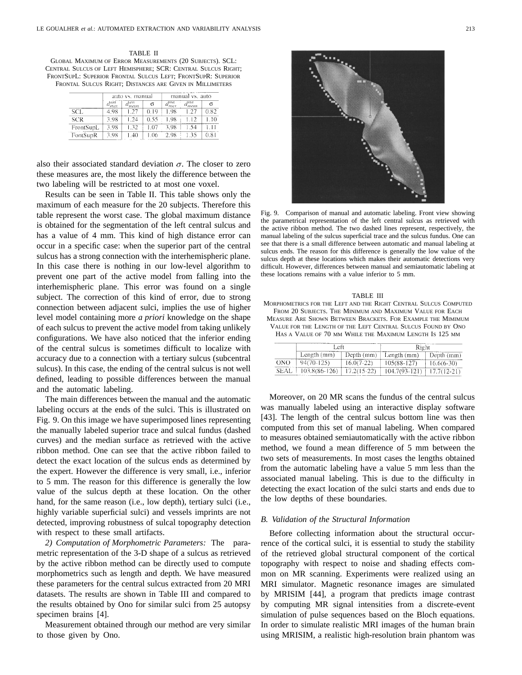TABLE II GLOBAL MAXIMUM OF ERROR MEASUREMENTS (20 SUBJECTS). SCL: CENTRAL SULCUS OF LEFT HEMISPHERE; SCR: CENTRAL SULCUS RIGHT; FRONTSUPL: SUPERIOR FRONTAL SULCUS LEFT; FRONTSUPR: SUPERIOR FRONTAL SULCUS RIGHT; DISTANCES ARE GIVEN IN MILLIMETERS

|            |           | auto vs. manual |      |                           | manual vs. auto |      |
|------------|-----------|-----------------|------|---------------------------|-----------------|------|
|            | нт<br>max | $d_{mean}^{am}$ | σ    | $d_{max}^{m\overline{a}}$ | $d^{ma}_{mean}$ |      |
| <b>SCL</b> | 4.98      | 1.27            | 0.19 | 1.98                      | 1.27            | 0.82 |
| <b>SCR</b> | 3.98      | 1.24            | 0.55 | 1.98                      | 112             | 1.10 |
| FrontSupL  | 3.98      | 1.32            | 1.07 | 3.98                      | 154             |      |
| FontSupR   | 3.98      | 1.40            | 1.06 | 2.98                      | 135             | 0.81 |

also their associated standard deviation  $\sigma$ . The closer to zero these measures are, the most likely the difference between the two labeling will be restricted to at most one voxel.

Results can be seen in Table II. This table shows only the maximum of each measure for the 20 subjects. Therefore this table represent the worst case. The global maximum distance is obtained for the segmentation of the left central sulcus and has a value of 4 mm. This kind of high distance error can occur in a specific case: when the superior part of the central sulcus has a strong connection with the interhemispheric plane. In this case there is nothing in our low-level algorithm to prevent one part of the active model from falling into the interhemispheric plane. This error was found on a single subject. The correction of this kind of error, due to strong connection between adjacent sulci, implies the use of higher level model containing more *a priori* knowledge on the shape of each sulcus to prevent the active model from taking unlikely configurations. We have also noticed that the inferior ending of the central sulcus is sometimes difficult to localize with accuracy due to a connection with a tertiary sulcus (subcentral sulcus). In this case, the ending of the central sulcus is not well defined, leading to possible differences between the manual and the automatic labeling.

The main differences between the manual and the automatic labeling occurs at the ends of the sulci. This is illustrated on Fig. 9. On this image we have superimposed lines representing the manually labeled superior trace and sulcal fundus (dashed curves) and the median surface as retrieved with the active ribbon method. One can see that the active ribbon failed to detect the exact location of the sulcus ends as determined by the expert. However the difference is very small, i.e., inferior to 5 mm. The reason for this difference is generally the low value of the sulcus depth at these location. On the other hand, for the same reason (i.e., low depth), tertiary sulci (i.e., highly variable superficial sulci) and vessels imprints are not detected, improving robustness of sulcal topography detection with respect to these small artifacts.

*2) Computation of Morphometric Parameters:* The parametric representation of the 3-D shape of a sulcus as retrieved by the active ribbon method can be directly used to compute morphometrics such as length and depth. We have measured these parameters for the central sulcus extracted from 20 MRI datasets. The results are shown in Table III and compared to the results obtained by Ono for similar sulci from 25 autopsy specimen brains [4].

Measurement obtained through our method are very similar to those given by Ono.



Fig. 9. Comparison of manual and automatic labeling. Front view showing the parametrical representation of the left central sulcus as retrieved with the active ribbon method. The two dashed lines represent, respectively, the manual labeling of the sulcus superficial trace and the sulcus fundus. One can see that there is a small difference between automatic and manual labeling at sulcus ends. The reason for this difference is generally the low value of the sulcus depth at these locations which makes their automatic detections very difficult. However, differences between manual and semiautomatic labeling at these locations remains with a value inferior to 5 mm.

#### TABLE III

MORPHOMETRICS FOR THE LEFT AND THE RIGHT CENTRAL SULCUS COMPUTED FROM 20 SUBJECTS. THE MINIMUM AND MAXIMUM VALUE FOR EACH MEASURE ARE SHOWN BETWEEN BRACKETS. FOR EXAMPLE THE MIMIMUM VALUE FOR THE LENGTH OF THE LEFT CENTRAL SULCUS FOUND BY ONO HAS A VALUE OF 70 MM WHILE THE MAXIMUM LENGTH IS 125 MM

|     | Left         |              | Right                        |            |  |
|-----|--------------|--------------|------------------------------|------------|--|
|     | Length (mm)  |              | Depth $(mm)$   Length $(mm)$ | Depth (mm) |  |
| ONO | $94(70-125)$ | $16.0(7-22)$ | $105(88-127)$                | $+166630$  |  |

| SEAL   $103.8(86-126)$   $17.2(15-22)$   $104.7(93-121)$   $17.7(12-21)$ |  |  |
|--------------------------------------------------------------------------|--|--|

Moreover, on 20 MR scans the fundus of the central sulcus was manually labeled using an interactive display software [43]. The length of the central sulcus bottom line was then computed from this set of manual labeling. When compared to measures obtained semiautomatically with the active ribbon method, we found a mean difference of 5 mm between the two sets of measurements. In most cases the lengths obtained from the automatic labeling have a value 5 mm less than the associated manual labeling. This is due to the difficulty in detecting the exact location of the sulci starts and ends due to the low depths of these boundaries.

# *B. Validation of the Structural Information*

Before collecting information about the structural occurrence of the cortical sulci, it is essential to study the stability of the retrieved global structural component of the cortical topography with respect to noise and shading effects common on MR scanning. Experiments were realized using an MRI simulator. Magnetic resonance images are simulated by MRISIM [44], a program that predicts image contrast by computing MR signal intensities from a discrete-event simulation of pulse sequences based on the Bloch equations. In order to simulate realistic MRI images of the human brain using MRISIM, a realistic high-resolution brain phantom was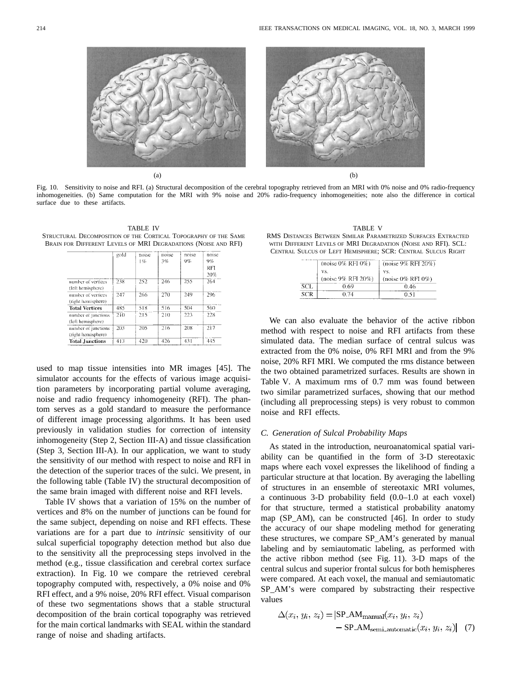

Fig. 10. Sensitivity to noise and RFI. (a) Structural decomposition of the cerebral topography retrieved from an MRI with 0% noise and 0% radio-frequency inhomogeneities. (b) Same computation for the MRI with 9% noise and 20% radio-frequency inhomogeneities; note also the difference in cortical surface due to these artifacts.

TABLE IV STRUCTURAL DECOMPOSITION OF THE CORTICAL TOPOGRAPHY OF THE SAME BRAIN FOR DIFFERENT LEVELS OF MRI DEGRADATIONS (NOISE AND RFI)

|                                           | gold | noise<br>1% | noise<br>3% | noise<br>9% | noise<br>9%<br>RFI<br>20% |
|-------------------------------------------|------|-------------|-------------|-------------|---------------------------|
| number of vertices<br>(left hemisphere)   | 238  | 252         | 246         | 255         | 264                       |
| number of vertices<br>(right hemisphere)  | 247  | 266         | 270         | 249         | 296                       |
| <b>Total Vertices</b>                     | 485  | 518         | 516         | 504         | 560                       |
| number of junctions<br>(left hemisphere)  | 210  | 215         | 210         | 223         | 228                       |
| number of junctions<br>(right hemisphere) | 203  | 205         | 216         | 208         | 217                       |
| <b>Total Junctions</b>                    | 413  | 420         | 426         | 431         | 445                       |

used to map tissue intensities into MR images [45]. The simulator accounts for the effects of various image acquisition parameters by incorporating partial volume averaging, noise and radio frequency inhomogeneity (RFI). The phantom serves as a gold standard to measure the performance of different image processing algorithms. It has been used previously in validation studies for correction of intensity inhomogeneity (Step 2, Section III-A) and tissue classification (Step 3, Section III-A). In our application, we want to study the sensitivity of our method with respect to noise and RFI in the detection of the superior traces of the sulci. We present, in the following table (Table IV) the structural decomposition of the same brain imaged with different noise and RFI levels.

Table IV shows that a variation of 15% on the number of vertices and 8% on the number of junctions can be found for the same subject, depending on noise and RFI effects. These variations are for a part due to *intrinsic* sensitivity of our sulcal superficial topography detection method but also due to the sensitivity all the preprocessing steps involved in the method (e.g., tissue classification and cerebral cortex surface extraction). In Fig. 10 we compare the retrieved cerebral topography computed with, respectively, a 0% noise and 0% RFI effect, and a 9% noise, 20% RFI effect. Visual comparison of these two segmentations shows that a stable structural decomposition of the brain cortical topography was retrieved for the main cortical landmarks with SEAL within the standard range of noise and shading artifacts.

TABLE V RMS DISTANCES BETWEEN SIMILAR PARAMETRIZED SURFACES EXTRACTED WITH DIFFERENT LEVELS OF MRI DEGRADATION (NOISE AND RFI). SCL: CENTRAL SULCUS OF LEFT HEMISPHERE; SCR: CENTRAL SULCUS RIGHT

|            | (noise $0\%$ RFI $0\%$ ) | (noise $9\%$ RFI 20%)    |
|------------|--------------------------|--------------------------|
|            | VS.                      | VS.                      |
|            | (noise $9\%$ RFI 20%)    | (noise $0\%$ RFI $0\%$ ) |
| <b>SCL</b> | በ 69                     | 0.46                     |
| <b>SCR</b> | በ 74                     | 0 51                     |

We can also evaluate the behavior of the active ribbon method with respect to noise and RFI artifacts from these simulated data. The median surface of central sulcus was extracted from the 0% noise, 0% RFI MRI and from the 9% noise, 20% RFI MRI. We computed the rms distance between the two obtained parametrized surfaces. Results are shown in Table V. A maximum rms of 0.7 mm was found between two similar parametrized surfaces, showing that our method (including all preprocessing steps) is very robust to common noise and RFI effects.

### *C. Generation of Sulcal Probability Maps*

As stated in the introduction, neuroanatomical spatial variability can be quantified in the form of 3-D stereotaxic maps where each voxel expresses the likelihood of finding a particular structure at that location. By averaging the labelling of structures in an ensemble of stereotaxic MRI volumes, a continuous 3-D probability field (0.0–1.0 at each voxel) for that structure, termed a statistical probability anatomy map (SP\_AM), can be constructed [46]. In order to study the accuracy of our shape modeling method for generating these structures, we compare SP\_AM's generated by manual labeling and by semiautomatic labeling, as performed with the active ribbon method (see Fig. 11). 3-D maps of the central sulcus and superior frontal sulcus for both hemispheres were compared. At each voxel, the manual and semiautomatic SP AM's were compared by substracting their respective values

$$
\Delta(x_i, y_i, z_i) = |SP\_AM_{\text{manual}}(x_i, y_i, z_i) - SP\_AM_{\text{semi_automatic}}(x_i, y_i, z_i)| \quad (7)
$$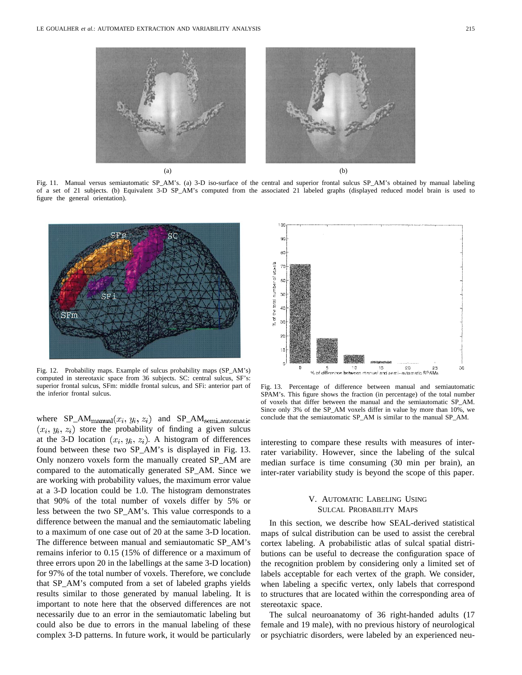

Fig. 11. Manual versus semiautomatic SP\_AM's. (a) 3-D iso-surface of the central and superior frontal sulcus SP\_AM's obtained by manual labeling of a set of 21 subjects. (b) Equivalent 3-D SP\_AM's computed from the associated 21 labeled graphs (displayed reduced model brain is used to figure the general orientation).



Fig. 12. Probability maps. Example of sulcus probability maps (SP\_AM's) computed in stereotaxic space from 36 subjects. SC: central sulcus, SF's: superior frontal sulcus, SFm: middle frontal sulcus, and SFi: anterior part of the inferior frontal sulcus.

where  $SP\_AM_{\text{manual}}(x_i, y_i, z_i)$  and  $SP\_AM_{\text{semi-automatic}}$  $(x_i, y_i, z_i)$  store the probability of finding a given sulcus at the 3-D location  $(x_i, y_i, z_i)$ . A histogram of differences found between these two SP\_AM's is displayed in Fig. 13. Only nonzero voxels form the manually created SP\_AM are compared to the automatically generated SP\_AM. Since we are working with probability values, the maximum error value at a 3-D location could be 1.0. The histogram demonstrates that 90% of the total number of voxels differ by 5% or less between the two SP\_AM's. This value corresponds to a difference between the manual and the semiautomatic labeling to a maximum of one case out of 20 at the same 3-D location. The difference between manual and semiautomatic SP\_AM's remains inferior to 0.15 (15% of difference or a maximum of three errors upon 20 in the labellings at the same 3-D location) for 97% of the total number of voxels. Therefore, we conclude that SP\_AM's computed from a set of labeled graphs yields results similar to those generated by manual labeling. It is important to note here that the observed differences are not necessarily due to an error in the semiautomatic labeling but could also be due to errors in the manual labeling of these complex 3-D patterns. In future work, it would be particularly



Fig. 13. Percentage of difference between manual and semiautomatic SPAM's. This figure shows the fraction (in percentage) of the total number of voxels that differ between the manual and the semiautomatic SP\_AM. Since only 3% of the SP\_AM voxels differ in value by more than 10%, we conclude that the semiautomatic SP\_AM is similar to the manual SP\_AM.

interesting to compare these results with measures of interrater variability. However, since the labeling of the sulcal median surface is time consuming (30 min per brain), an inter-rater variability study is beyond the scope of this paper.

# V. AUTOMATIC LABELING USING SULCAL PROBABILITY MAPS

In this section, we describe how SEAL-derived statistical maps of sulcal distribution can be used to assist the cerebral cortex labeling. A probabilistic atlas of sulcal spatial distributions can be useful to decrease the configuration space of the recognition problem by considering only a limited set of labels acceptable for each vertex of the graph. We consider, when labeling a specific vertex, only labels that correspond to structures that are located within the corresponding area of stereotaxic space.

The sulcal neuroanatomy of 36 right-handed adults (17 female and 19 male), with no previous history of neurological or psychiatric disorders, were labeled by an experienced neu-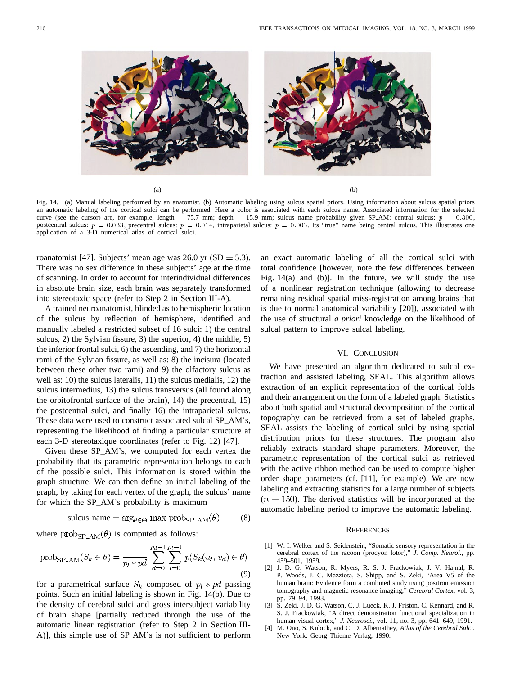

Fig. 14. (a) Manual labeling performed by an anatomist. (b) Automatic labeling using sulcus spatial priors. Using information about sulcus spatial priors an automatic labeling of the cortical sulci can be performed. Here a color is associated with each sulcus name. Associated information for the selected curve (see the cursor) are, for example, length = 75.7 mm; depth = 15.9 mm; sulcus name probability given SP\_AM: central sulcus:  $p = 0.300$ , postcentral sulcus:  $p = 0.033$ , precentral sulcus:  $p = 0.014$ , intraparietal sulcus:  $p = 0.003$ . Its "true" name being central sulcus. This illustrates one application of a 3-D numerical atlas of cortical sulci.

roanatomist [47]. Subjects' mean age was  $26.0$  yr (SD = 5.3). There was no sex difference in these subjects' age at the time of scanning. In order to account for interindividual differences in absolute brain size, each brain was separately transformed into stereotaxic space (refer to Step 2 in Section III-A).

A trained neuroanatomist, blinded as to hemispheric location of the sulcus by reflection of hemisphere, identified and manually labeled a restricted subset of 16 sulci: 1) the central sulcus, 2) the Sylvian fissure, 3) the superior, 4) the middle, 5) the inferior frontal sulci, 6) the ascending, and 7) the horizontal rami of the Sylvian fissure, as well as: 8) the incisura (located between these other two rami) and 9) the olfactory sulcus as well as: 10) the sulcus lateralis, 11) the sulcus medialis, 12) the sulcus intermedius, 13) the sulcus transversus (all found along the orbitofrontal surface of the brain), 14) the precentral, 15) the postcentral sulci, and finally 16) the intraparietal sulcus. These data were used to construct associated sulcal SP\_AM's, representing the likelihood of finding a particular structure at each 3-D stereotaxique coordinates (refer to Fig. 12) [47].

Given these SP\_AM's, we computed for each vertex the probability that its parametric representation belongs to each of the possible sulci. This information is stored within the graph structure. We can then define an initial labeling of the graph, by taking for each vertex of the graph, the sulcus' name for which the SP\_AM's probability is maximum

\n
$$
\text{sulcus_name} = \arg_{\theta \in \Theta} \max \text{prob}_{\text{SP}\_\text{AM}}(\theta)
$$
\n

where  $prob_{SP\_AM}(\theta)$  is computed as follows:

$$
prob_{SP\_AM}(S_k \in \theta) = \frac{1}{p_l * pd} \sum_{d=0}^{p_d - 1} \sum_{l=0}^{p_l - 1} p(S_k(u_l, v_d) \in \theta)
$$
\n(9)

for a parametrical surface  $S_k$  composed of  $p_l * pd$  passing points. Such an initial labeling is shown in Fig. 14(b). Due to the density of cerebral sulci and gross intersubject variability of brain shape [partially reduced through the use of the automatic linear registration (refer to Step 2 in Section III-A)], this simple use of SP AM's is not sufficient to perform

an exact automatic labeling of all the cortical sulci with total confidence [however, note the few differences between Fig.  $14(a)$  and  $(b)$ ]. In the future, we will study the use of a nonlinear registration technique (allowing to decrease remaining residual spatial miss-registration among brains that is due to normal anatomical variability [20]), associated with the use of structural *a priori* knowledge on the likelihood of sulcal pattern to improve sulcal labeling.

## VI. CONCLUSION

We have presented an algorithm dedicated to sulcal extraction and assisted labeling, SEAL. This algorithm allows extraction of an explicit representation of the cortical folds and their arrangement on the form of a labeled graph. Statistics about both spatial and structural decomposition of the cortical topography can be retrieved from a set of labeled graphs. SEAL assists the labeling of cortical sulci by using spatial distribution priors for these structures. The program also reliably extracts standard shape parameters. Moreover, the parametric representation of the cortical sulci as retrieved with the active ribbon method can be used to compute higher order shape parameters (cf. [11], for example). We are now labeling and extracting statistics for a large number of subjects  $(n = 150)$ . The derived statistics will be incorporated at the automatic labeling period to improve the automatic labeling.

#### **REFERENCES**

- [1] W. I. Welker and S. Seidenstein, "Somatic sensory representation in the cerebral cortex of the racoon (procyon lotor)," *J. Comp. Neurol.,* pp. 459–501, 1959.
- [2] J. D. G. Watson, R. Myers, R. S. J. Frackowiak, J. V. Hajnal, R. P. Woods, J. C. Mazziota, S. Shipp, and S. Zeki, "Area V5 of the human brain: Evidence form a combined study using positron emission tomography and magnetic resonance imaging," *Cerebral Cortex,* vol. 3, pp. 79–94, 1993.
- [3] S. Zeki, J. D. G. Watson, C. J. Lueck, K. J. Friston, C. Kennard, and R. S. J. Frackowiak, "A direct demonstration functional specialization in human visual cortex," *J. Neurosci.,* vol. 11, no. 3, pp. 641–649, 1991.
- [4] M. Ono, S. Kubick, and C. D. Albernathey, *Atlas of the Cerebral Sulci.* New York: Georg Thieme Verlag, 1990.